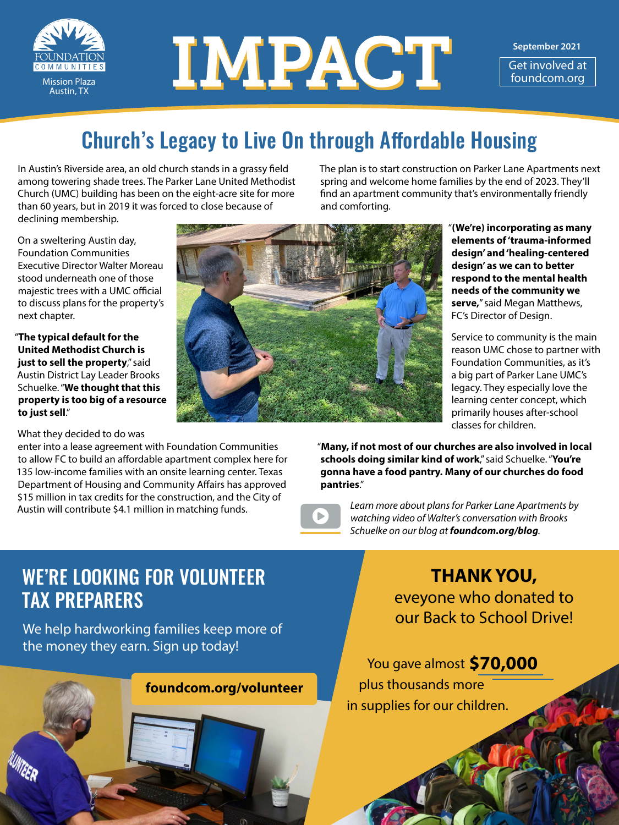

# MISSION PLACE

**September 2021**

Get involved at<br>foundcom.org

# Church's Legacy to Live On through Affordable Housing

In Austin's Riverside area, an old church stands in a grassy field among towering shade trees. The Parker Lane United Methodist Church (UMC) building has been on the eight-acre site for more than 60 years, but in 2019 it was forced to close because of declining membership.

The plan is to start construction on Parker Lane Apartments next spring and welcome home families by the end of 2023. They'll find an apartment community that's environmentally friendly and comforting.

On a sweltering Austin day, Foundation Communities Executive Director Walter Moreau stood underneath one of those majestic trees with a UMC official to discuss plans for the property's next chapter.

"**The typical default for the United Methodist Church is just to sell the property**," said Austin District Lay Leader Brooks Schuelke. "**We thought that this property is too big of a resource to just sell**."

#### What they decided to do was

enter into a lease agreement with Foundation Communities to allow FC to build an affordable apartment complex here for 135 low-income families with an onsite learning center. Texas Department of Housing and Community Affairs has approved \$15 million in tax credits for the construction, and the City of Austin will contribute \$4.1 million in matching funds.



"**(We're) incorporating as many elements of 'trauma-informed design' and 'healing-centered design' as we can to better respond to the mental health needs of the community we serve,**" said Megan Matthews, FC's Director of Design.

Service to community is the main reason UMC chose to partner with Foundation Communities, as it's a big part of Parker Lane UMC's legacy. They especially love the learning center concept, which primarily houses after-school classes for children.

"**Many, if not most of our churches are also involved in local schools doing similar kind of work**," said Schuelke. "**You're gonna have a food pantry. Many of our churches do food pantries**."



*Learn more about plans for Parker Lane Apartments by watching video of Walter's conversation with Brooks Schuelke on our blog at [foundcom.org/blog](http://foundcom.org/blog).*

## WE'RE LOOKING FOR VOLUNTEER TAX PREPARERS

We help hardworking families keep more of the money they earn. Sign up today!



**THANK YOU,** eveyone who donated to our Back to School Drive!

**12000** You gave almost **\$70,000**  plus thousands more in supplies for our children.